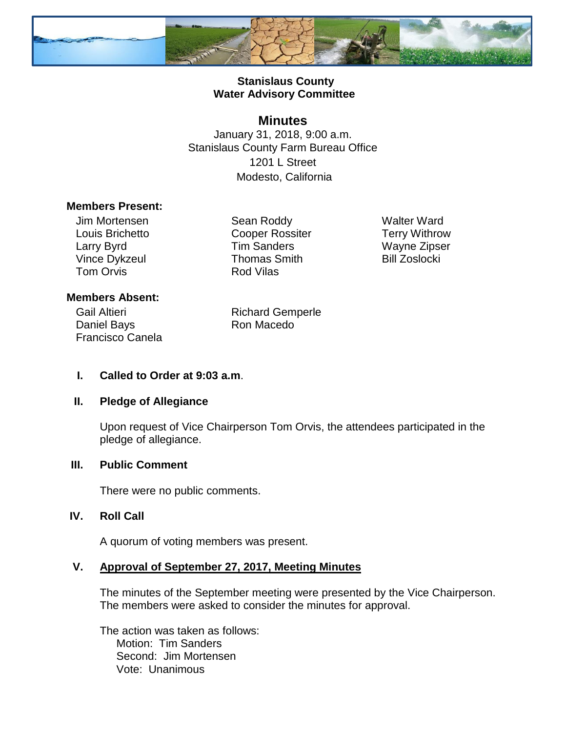

### **Stanislaus County Water Advisory Committee**

## **Minutes**

January 31, 2018, 9:00 a.m. Stanislaus County Farm Bureau Office 1201 L Street Modesto, California

#### **Members Present:**

Jim Mortensen Louis Brichetto Larry Byrd Vince Dykzeul Tom Orvis

Sean Roddy Cooper Rossiter Tim Sanders Thomas Smith Rod Vilas

Walter Ward Terry Withrow Wayne Zipser Bill Zoslocki

#### **Members Absent:**

Gail Altieri Daniel Bays Francisco Canela Richard Gemperle Ron Macedo

#### **I. Called to Order at 9:03 a.m**.

#### **II. Pledge of Allegiance**

Upon request of Vice Chairperson Tom Orvis, the attendees participated in the pledge of allegiance.

#### **III. Public Comment**

There were no public comments.

#### **IV. Roll Call**

A quorum of voting members was present.

#### **V. Approval of September 27, 2017, Meeting Minutes**

The minutes of the September meeting were presented by the Vice Chairperson. The members were asked to consider the minutes for approval.

The action was taken as follows: Motion: Tim Sanders Second: Jim Mortensen Vote: Unanimous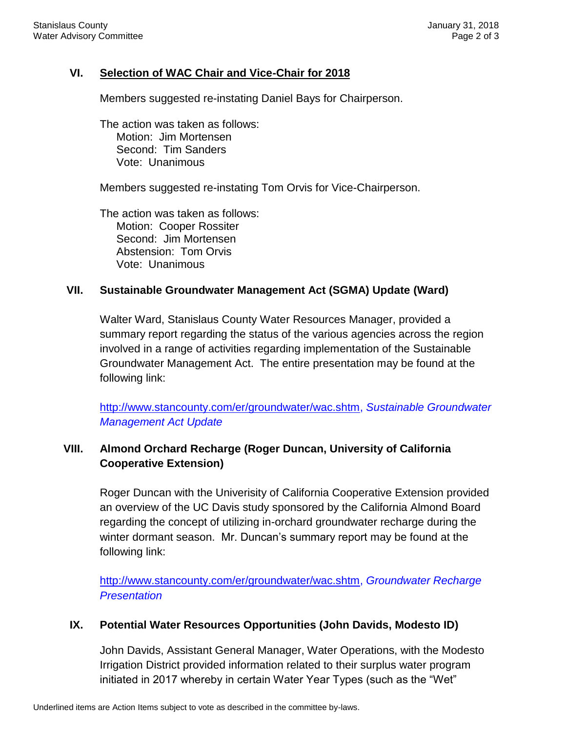### **VI. Selection of WAC Chair and Vice-Chair for 2018**

Members suggested re-instating Daniel Bays for Chairperson.

The action was taken as follows: Motion: Jim Mortensen Second: Tim Sanders Vote: Unanimous

Members suggested re-instating Tom Orvis for Vice-Chairperson.

The action was taken as follows: Motion: Cooper Rossiter Second: Jim Mortensen Abstension: Tom Orvis Vote: Unanimous

#### **VII. Sustainable Groundwater Management Act (SGMA) Update (Ward)**

Walter Ward, Stanislaus County Water Resources Manager, provided a summary report regarding the status of the various agencies across the region involved in a range of activities regarding implementation of the Sustainable Groundwater Management Act. The entire presentation may be found at the following link:

[http://www.stancounty.com/er/groundwater/wac.shtm,](http://www.stancounty.com/er/groundwater/wac.shtm) *Sustainable Groundwater Management Act Update*

# **VIII. Almond Orchard Recharge (Roger Duncan, University of California Cooperative Extension)**

Roger Duncan with the Univerisity of California Cooperative Extension provided an overview of the UC Davis study sponsored by the California Almond Board regarding the concept of utilizing in-orchard groundwater recharge during the winter dormant season. Mr. Duncan's summary report may be found at the following link:

[http://www.stancounty.com/er/groundwater/wac.shtm,](http://www.stancounty.com/er/groundwater/wac.shtm) *Groundwater Recharge Presentation*

#### **IX. Potential Water Resources Opportunities (John Davids, Modesto ID)**

John Davids, Assistant General Manager, Water Operations, with the Modesto Irrigation District provided information related to their surplus water program initiated in 2017 whereby in certain Water Year Types (such as the "Wet"